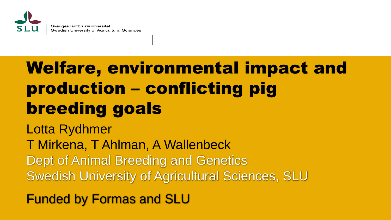

# Welfare, environmental impact and production – conflicting pig breeding goals

Lotta Rydhmer T Mirkena, T Ahlman, A Wallenbeck Dept of Animal Breeding and Genetics Swedish University of Agricultural Sciences, SLU

Funded by Formas and SLU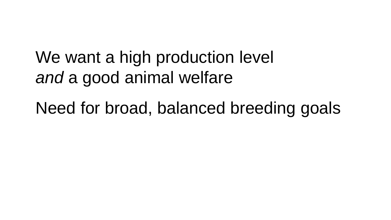# We want a high production level *and* a good animal welfare

Need for broad, balanced breeding goals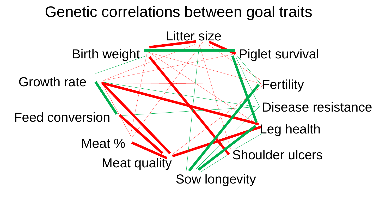### Genetic correlations between goal traits

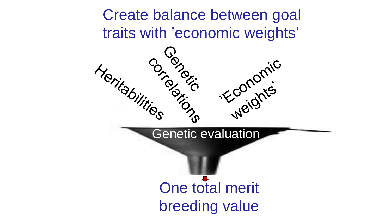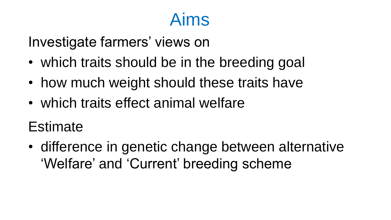# Aims

Investigate farmers' views on

- which traits should be in the breeding goal
- how much weight should these traits have
- which traits effect animal welfare
- Estimate
- difference in genetic change between alternative 'Welfare' and 'Current' breeding scheme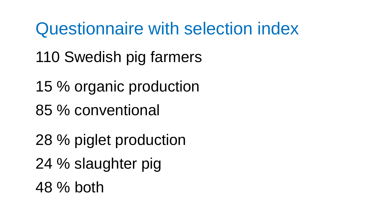Questionnaire with selection index

- 110 Swedish pig farmers
- 15 % organic production
- 85 % conventional
- 28 % piglet production
- 24 % slaughter pig
- 48 % both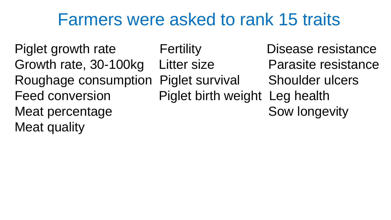### Farmers were asked to rank 15 traits

Piglet growth rate Fertility Boldes Busease resistance Growth rate, 30-100kg Litter size Parasite resistance Roughage consumption Piglet survival Shoulder ulcers Feed conversion Piglet birth weight Leg health Meat percentage state of the Sow longevity Meat quality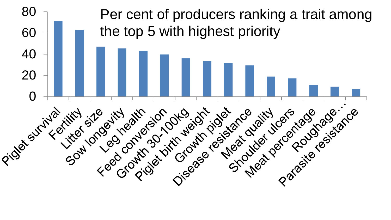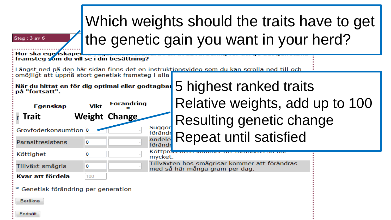| Which weights should the traits have to get<br>the genetic gain you want in your herd?<br>Steg: 3 av 6<br>Hur ska egenskaper |             |                      |                                                                                                                       |  |  |  |  |
|------------------------------------------------------------------------------------------------------------------------------|-------------|----------------------|-----------------------------------------------------------------------------------------------------------------------|--|--|--|--|
| framsteg som du vill se i din besättning?                                                                                    |             |                      |                                                                                                                       |  |  |  |  |
| omöjligt att uppnå stort genetisk framsteg i alla<br>När du hittat en för dig optimal eller godtagbar<br>på "fortsätt".      |             |                      | Längst ned på den här sidan finns det en instruktionsvideo som du kan scrolla ned till och<br>5 highest ranked traits |  |  |  |  |
| <b>Egenskap</b>                                                                                                              | <b>Vikt</b> | <b>Förändring</b>    | Relative weights, add up to 100                                                                                       |  |  |  |  |
| <b>Trait</b>                                                                                                                 |             | <b>Weight Change</b> | Resulting genetic change                                                                                              |  |  |  |  |
| Grovfoderkonsumtion 0                                                                                                        |             | Suggor<br>förändr    | <b>Repeat until satisfied</b>                                                                                         |  |  |  |  |
| Parasitresistens                                                                                                             | O           | Andele<br>förändr    |                                                                                                                       |  |  |  |  |
| Köttighet                                                                                                                    | 0           | mycket.              | Köttprocenten kommer att foranuras sa na                                                                              |  |  |  |  |
| Tillväxt smågris                                                                                                             | $\Omega$    |                      | Tillväxten hos smågrisar kommer att förändras<br>med så här många gram per dag.                                       |  |  |  |  |
| Kvar att fördela                                                                                                             | 100         |                      |                                                                                                                       |  |  |  |  |
| * Genetisk förändring per generation                                                                                         |             |                      |                                                                                                                       |  |  |  |  |
| Beräkna                                                                                                                      |             |                      |                                                                                                                       |  |  |  |  |
| Fortsätt                                                                                                                     |             |                      |                                                                                                                       |  |  |  |  |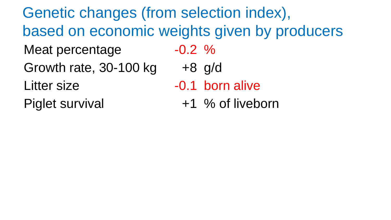Meat percentage  $-0.2$  % Growth rate,  $30-100$  kg  $+8$  g/d Litter size **-0.1 born alive** Piglet survival  $+1$  % of liveborn Genetic changes (from selection index), based on economic weights given by producers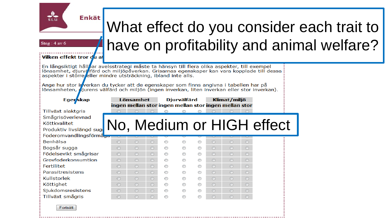

# What effect do you consider each trait to have on profitability and animal welfare?

Steg: 4 av 6

#### Vilken effekt tror du at

En långsiktigt hålløar avelsstrategi måste ta hänsyn till flera olika aspekter, till exempel lönsamhet, djurvälfärd och miljöpåverkan. Grisarnas egenskaper kan vara kopplade till dessa aspekter i större eller mindre utsträckning, ibland inte alls.

Ange hur stor inverkan du tycker att de egenskaper som finns angivna i tabellen har på lönsamheten, jurens välfärd och miljön (ingen inverkan, liten inverkan eller stor inverkan).

| Eger <b>skap</b>                                                                   | ingen mellan stor ingen mellan stor ingen mellan stor | Lönsamhet |         |   | <b>Djurvälfärd</b> |   |         | Klimat/miljö |         |                           |
|------------------------------------------------------------------------------------|-------------------------------------------------------|-----------|---------|---|--------------------|---|---------|--------------|---------|---------------------------|
| Tillväxt slaktgris<br>Smågrisöverlevnad<br>Köttkvalitet<br>Produktiv livslängd sug |                                                       |           |         |   |                    |   |         |              |         | No, Medium or HIGH effect |
| Foderomvandlingsförmåga<br>Benhälsa                                                | $\odot$                                               | $\odot$   | $\odot$ | ⊙ | ⊙                  | ⊙ | $\odot$ | $\odot$      | $\odot$ |                           |
| Bogsår sugga                                                                       | ∩                                                     | $\odot$   | $\odot$ | ⊙ |                    | ⊙ | $\odot$ | ∩            | $\odot$ |                           |
| Födelsevikt smågrisar                                                              | ∩                                                     | ∩         | $\odot$ | ⊙ | ⋒                  | ⊙ | $\odot$ | ∩            | $\odot$ |                           |
| Grovfoderkonsumtion                                                                | ∩                                                     | $\odot$   | $\odot$ | ⊙ | ⋒                  | ⊙ | $\odot$ | $\odot$      | $\odot$ |                           |
| Fertilitet                                                                         | ∩                                                     | $\odot$   | $\odot$ | ⊙ |                    | ⊙ | $\odot$ | $\odot$      | $\odot$ |                           |
| Parasitresistens                                                                   | ∩                                                     | ∩         | $\odot$ | ⊙ | ⋒                  | ∩ | ∩       | ∩            | $\odot$ |                           |
| Kullstorlek                                                                        | ∩                                                     | $\odot$   | $\odot$ | ⊙ |                    | ⊙ | ∩       | ∩            | $\odot$ |                           |
| Köttighet                                                                          | ∩                                                     | ∩         | $\odot$ | ∩ | ∩                  | ∩ | $\odot$ | ∩            | ∩       |                           |
| Sjukdomsresistens                                                                  | ∩                                                     | ∩         | $\odot$ |   |                    |   | $\odot$ | $\odot$      | $\odot$ |                           |
| Tillväxt smågris                                                                   | ⋒                                                     | ⋒         | ⋒       | ⊙ | ∩                  |   |         | ∩            | $\odot$ |                           |

Fortsätt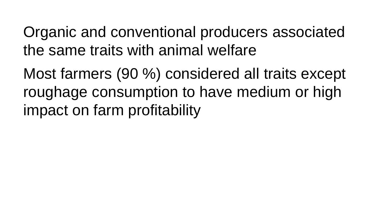Organic and conventional producers associated the same traits with animal welfare

Most farmers (90 %) considered all traits except roughage consumption to have medium or high impact on farm profitability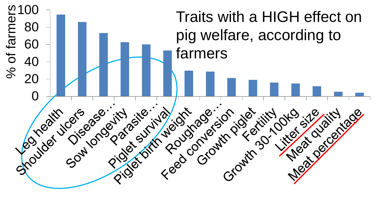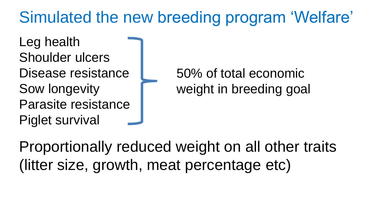### Simulated the new breeding program 'Welfare'

Leg health Shoulder ulcers Disease resistance Sow longevity Parasite resistance Piglet survival

50% of total economic weight in breeding goal

Proportionally reduced weight on all other traits (litter size, growth, meat percentage etc)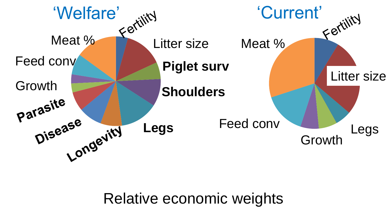

Relative economic weights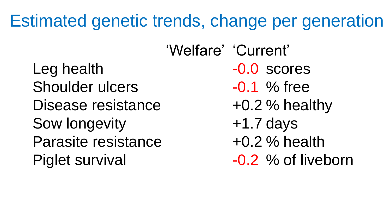### Estimated genetic trends, change per generation

Leg health  $-0.0$  scores Shoulder ulcers -0.1 % free Disease resistance  $+0.2$  % healthy Sow longevity  $+1.7$  days Parasite resistance  $+0.2$  % health Piglet survival  $-0.2$  % of liveborn

'Welfare' 'Current'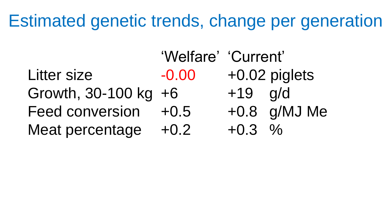### Estimated genetic trends, change per generation

|                        | 'Welfare' 'Current' |           |                 |
|------------------------|---------------------|-----------|-----------------|
| Litter size            | $-0.00$             |           | $+0.02$ piglets |
| Growth, 30-100 kg +6   |                     | $+19$ g/d |                 |
| <b>Feed conversion</b> | $+0.5$              |           | $+0.8$ g/MJ Me  |
| Meat percentage        | $+0.2$              | $+0.3\%$  |                 |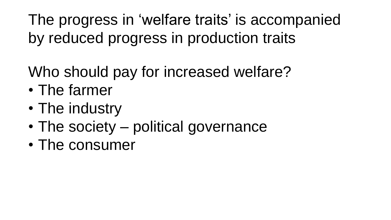The progress in 'welfare traits' is accompanied by reduced progress in production traits

- Who should pay for increased welfare?
- The farmer
- The industry
- The society political governance
- The consumer